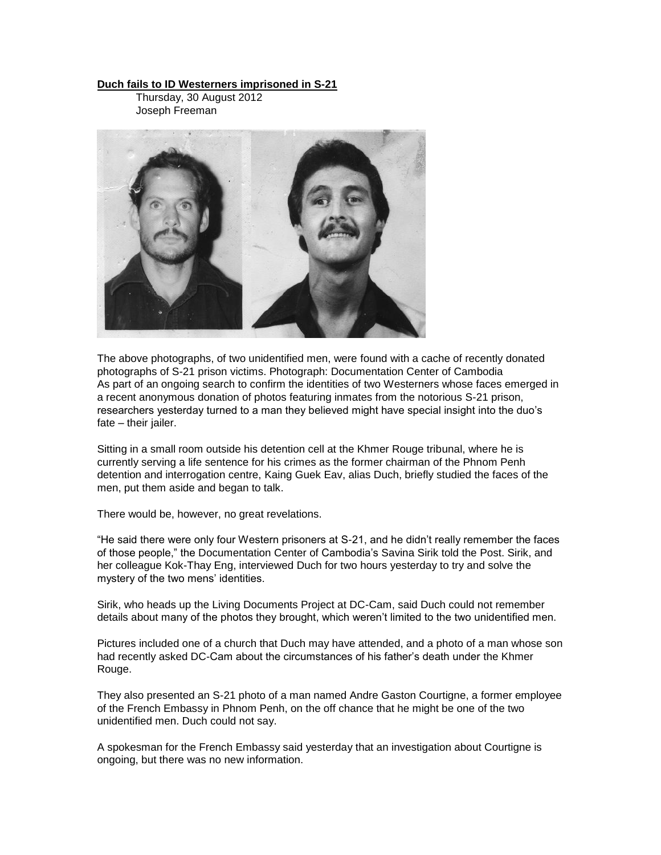## **Duch fails to ID [Westerners](http://www.phnompenhpost.com/index.php/2012083058391/National-news/duch-fails-to-id-westerners-imprisoned-in-s-21.html) imprisoned in S-21**

Thursday, 30 August 2012 Joseph Freeman



The above photographs, of two unidentified men, were found with a cache of recently donated photographs of S-21 [prison](http://www.phnompenhpost.com/index.php/2012083058391/National-news/duch-fails-to-id-westerners-imprisoned-in-s-21/Print.html) victims. Photograph: Documentation Center of Cambodia As part of an ongoing search to [confirm](http://www.phnompenhpost.com/index.php/2012083058391/National-news/duch-fails-to-id-westerners-imprisoned-in-s-21/Print.html) the identities of two Westerners whose faces emerged in a recent anonymous donation of photos featuring inmates from the notorious S-21 prison, researchers yesterday turned to a man they believed might have special insight into the duo's fate – their jailer.

Sitting in a small room outside his detention cell at the Khmer Rouge tribunal, where he is currently serving a life sentence for his [crimes](http://www.phnompenhpost.com/index.php/2012083058391/National-news/duch-fails-to-id-westerners-imprisoned-in-s-21/Print.html) as the former chairman of the Phnom Penh detention and interrogation centre, [Kaing](http://www.eccc.gov.kh/en/indicted-person/kaing-guek-eav) Guek Eav, alias Duch, briefly studied the faces of the men, put them aside and began to talk.

There would be, however, no great revelations.

"He said there were only four Western prisoners at S-21, and he didn't really remember the faces of those people," the [Documentation](http://www.dccam.org/) Center of Cambodia's Savina Sirik told the Post. Sirik, and her colleague Kok-Thay Eng, interviewed Duch for two hours yesterday to try and solve the mystery of the two mens' identities.

Sirik, who heads up the Living Documents Project at DC-Cam, said Duch could not remember details about many of the photos they brought, which weren't limited to the two unidentified men.

Pictures included one of a church that Duch may have attended, and a photo of a man whose son had recently asked DC-Cam about the circumstances of his father's death under the Khmer Rouge.

They also presented an S-21 photo of a man named Andre Gaston Courtigne, a former employee of the French Embassy in Phnom Penh, on the off chance that he might be one of the two unidentified men. Duch could not say.

A spokesman for the French Embassy said yesterday that an investigation about Courtigne is ongoing, but there was no new information.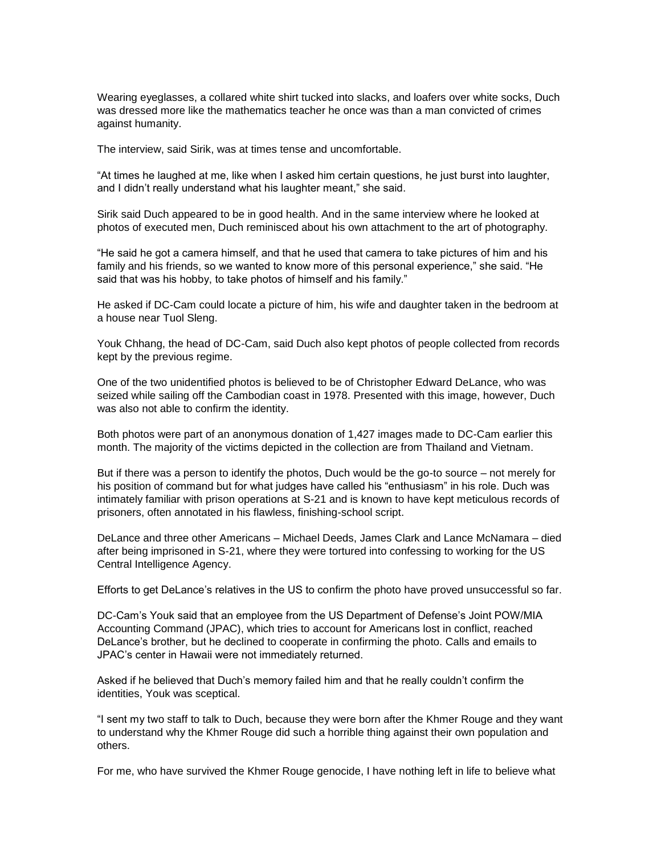Wearing eyeglasses, a collared [white](http://www.phnompenhpost.com/index.php/2012083058391/National-news/duch-fails-to-id-westerners-imprisoned-in-s-21/Print.html) shirt tucked into slacks, and loafers over white socks, Duch was dressed more like the mathematics teacher he once was than a man convicted of crimes against humanity.

The interview, said Sirik, was at times tense and uncomfortable.

"At times he laughed at me, like when I asked him certain questions, he just burst into laughter, and I didn't really understand what his laughter meant," she said.

Sirik said Duch appeared to be in good [health.](http://www.phnompenhpost.com/index.php/2012083058391/National-news/duch-fails-to-id-westerners-imprisoned-in-s-21/Print.html) And in the same interview where he looked at photos of executed men, Duch reminisced about his own attachment to the art of photography.

"He said he got a camera himself, and that he used that camera to take pictures of him and his family and his [friends,](http://www.phnompenhpost.com/index.php/2012083058391/National-news/duch-fails-to-id-westerners-imprisoned-in-s-21/Print.html) so we wanted to know more of this personal experience," she said. "He said that was his hobby, to take photos of himself and his family."

He asked if DC-Cam could locate a picture of him, his wife and daughter taken in the bedroom at a house near Tuol Sleng.

Youk Chhang, the head of DC-Cam, said Duch also kept photos of people collected from records kept by the previous regime.

One of the two unidentified photos is believed to be of Christopher Edward DeLance, who was seized while sailing off the Cambodian coast in 1978. Presented with this image, however, Duch was also not able to confirm the identity.

Both photos were part of an anonymous donation of 1,427 images made to DC-Cam earlier this month. The majority of the victims depicted in the collection are from Thailand and Vietnam.

But if there was a person to identify the photos, Duch would be the go-to source – not merely for his position of command but for what judges have called his "enthusiasm" in his role. Duch was intimately familiar with prison operations at S-21 and is known to have kept meticulous records of prisoners, often annotated in his flawless, finishing-school script.

DeLance and three other Americans – Michael Deeds, James Clark and Lance McNamara – died after being imprisoned in S-21, where they were tortured into confessing to working for the US Central Intelligence Agency.

Efforts to get DeLance's relatives in the US to confirm the photo have proved unsuccessful so far.

DC-Cam's Youk said that an employee from the US Department of Defense's Joint POW/MIA Accounting Command (JPAC), which tries to account for Americans lost in conflict, reached DeLance's brother, but he declined to cooperate in confirming the photo. Calls and emails to JPAC's center in Hawaii were not immediately returned.

Asked if he believed that Duch's memory failed him and that he really couldn't confirm the identities, Youk was sceptical.

"I sent my two staff to talk to Duch, because they were born after the Khmer Rouge and they want to understand why the Khmer Rouge did such a horrible thing against their own population and others.

For me, who have survived the Khmer Rouge genocide, I have nothing left in life to believe what